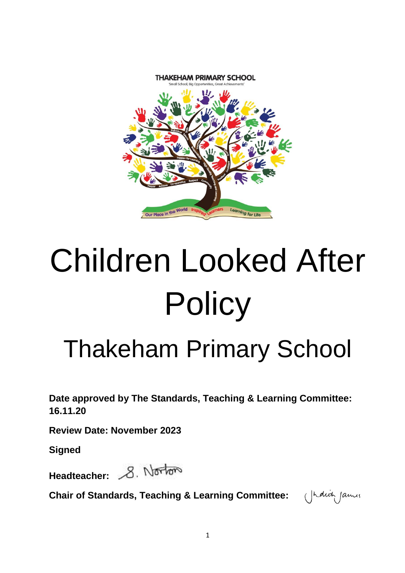

# Children Looked After **Policy**

# Thakeham Primary School

**Date approved by The Standards, Teaching & Learning Committee: 16.11.20**

**Review Date: November 2023**

**Signed**

Headteacher: 8. Norton

**Chair of Standards, Teaching & Learning Committee:** 

(Indict James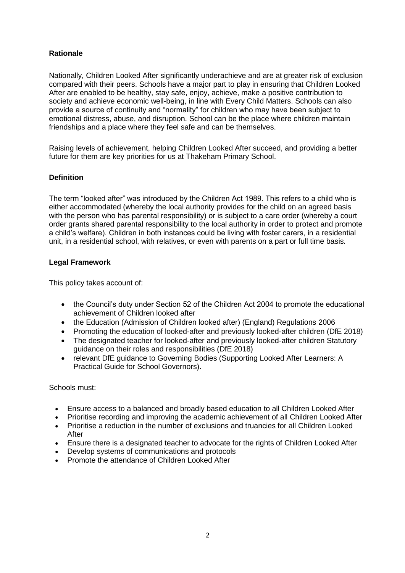# **Rationale**

Nationally, Children Looked After significantly underachieve and are at greater risk of exclusion compared with their peers. Schools have a major part to play in ensuring that Children Looked After are enabled to be healthy, stay safe, enjoy, achieve, make a positive contribution to society and achieve economic well-being, in line with Every Child Matters. Schools can also provide a source of continuity and "normality" for children who may have been subject to emotional distress, abuse, and disruption. School can be the place where children maintain friendships and a place where they feel safe and can be themselves.

Raising levels of achievement, helping Children Looked After succeed, and providing a better future for them are key priorities for us at Thakeham Primary School.

#### **Definition**

The term "looked after" was introduced by the Children Act 1989. This refers to a child who is either accommodated (whereby the local authority provides for the child on an agreed basis with the person who has parental responsibility) or is subject to a care order (whereby a court order grants shared parental responsibility to the local authority in order to protect and promote a child's welfare). Children in both instances could be living with foster carers, in a residential unit, in a residential school, with relatives, or even with parents on a part or full time basis.

#### **Legal Framework**

This policy takes account of:

- the Council's duty under Section 52 of the Children Act 2004 to promote the educational achievement of Children looked after
- the Education (Admission of Children looked after) (England) Regulations 2006
- Promoting the education of looked-after and previously looked-after children (DfE 2018)
- The designated teacher for looked-after and previously looked-after children Statutory guidance on their roles and responsibilities (DfE 2018)
- relevant DfE guidance to Governing Bodies (Supporting Looked After Learners: A Practical Guide for School Governors).

Schools must:

- Ensure access to a balanced and broadly based education to all Children Looked After
- Prioritise recording and improving the academic achievement of all Children Looked After
- Prioritise a reduction in the number of exclusions and truancies for all Children Looked After
- Ensure there is a designated teacher to advocate for the rights of Children Looked After
- Develop systems of communications and protocols
- Promote the attendance of Children Looked After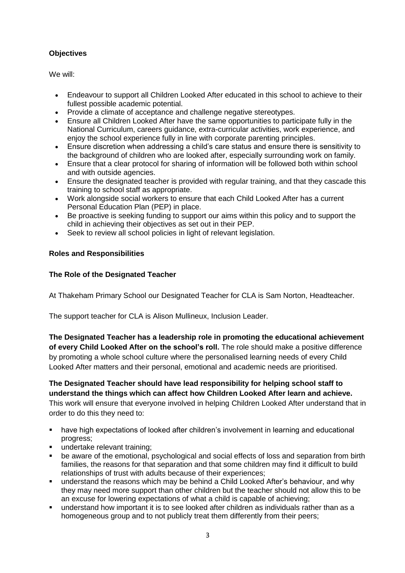# **Objectives**

We will:

- Endeavour to support all Children Looked After educated in this school to achieve to their fullest possible academic potential.
- Provide a climate of acceptance and challenge negative stereotypes.
- Ensure all Children Looked After have the same opportunities to participate fully in the National Curriculum, careers guidance, extra-curricular activities, work experience, and enjoy the school experience fully in line with corporate parenting principles.
- Ensure discretion when addressing a child's care status and ensure there is sensitivity to the background of children who are looked after, especially surrounding work on family.
- Ensure that a clear protocol for sharing of information will be followed both within school and with outside agencies.
- Ensure the designated teacher is provided with regular training, and that they cascade this training to school staff as appropriate.
- Work alongside social workers to ensure that each Child Looked After has a current Personal Education Plan (PEP) in place.
- Be proactive is seeking funding to support our aims within this policy and to support the child in achieving their objectives as set out in their PEP.
- Seek to review all school policies in light of relevant legislation.

# **Roles and Responsibilities**

# **The Role of the Designated Teacher**

At Thakeham Primary School our Designated Teacher for CLA is Sam Norton, Headteacher.

The support teacher for CLA is Alison Mullineux, Inclusion Leader.

**The Designated Teacher has a leadership role in promoting the educational achievement of every Child Looked After on the school's roll.** The role should make a positive difference by promoting a whole school culture where the personalised learning needs of every Child Looked After matters and their personal, emotional and academic needs are prioritised.

**The Designated Teacher should have lead responsibility for helping school staff to understand the things which can affect how Children Looked After learn and achieve.** This work will ensure that everyone involved in helping Children Looked After understand that in

order to do this they need to:

- have high expectations of looked after children's involvement in learning and educational progress;
- undertake relevant training;
- be aware of the emotional, psychological and social effects of loss and separation from birth families, the reasons for that separation and that some children may find it difficult to build relationships of trust with adults because of their experiences;
- understand the reasons which may be behind a Child Looked After's behaviour, and why they may need more support than other children but the teacher should not allow this to be an excuse for lowering expectations of what a child is capable of achieving;
- understand how important it is to see looked after children as individuals rather than as a homogeneous group and to not publicly treat them differently from their peers;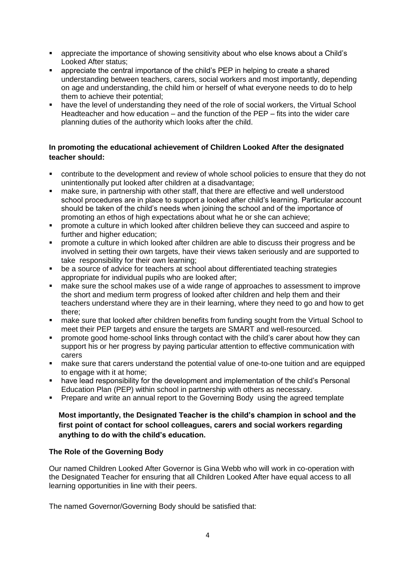- appreciate the importance of showing sensitivity about who else knows about a Child's Looked After status;
- appreciate the central importance of the child's PEP in helping to create a shared understanding between teachers, carers, social workers and most importantly, depending on age and understanding, the child him or herself of what everyone needs to do to help them to achieve their potential;
- have the level of understanding they need of the role of social workers, the Virtual School Headteacher and how education – and the function of the PEP – fits into the wider care planning duties of the authority which looks after the child.

# **In promoting the educational achievement of Children Looked After the designated teacher should:**

- contribute to the development and review of whole school policies to ensure that they do not unintentionally put looked after children at a disadvantage;
- make sure, in partnership with other staff, that there are effective and well understood school procedures are in place to support a looked after child's learning. Particular account should be taken of the child's needs when joining the school and of the importance of promoting an ethos of high expectations about what he or she can achieve;
- promote a culture in which looked after children believe they can succeed and aspire to further and higher education;
- promote a culture in which looked after children are able to discuss their progress and be involved in setting their own targets, have their views taken seriously and are supported to take responsibility for their own learning;
- be a source of advice for teachers at school about differentiated teaching strategies appropriate for individual pupils who are looked after;
- make sure the school makes use of a wide range of approaches to assessment to improve the short and medium term progress of looked after children and help them and their teachers understand where they are in their learning, where they need to go and how to get there;
- make sure that looked after children benefits from funding sought from the Virtual School to meet their PEP targets and ensure the targets are SMART and well-resourced.
- promote good home-school links through contact with the child's carer about how they can support his or her progress by paying particular attention to effective communication with carers
- make sure that carers understand the potential value of one-to-one tuition and are equipped to engage with it at home;
- have lead responsibility for the development and implementation of the child's Personal Education Plan (PEP) within school in partnership with others as necessary.
- **Prepare and write an annual report to the Governing Body using the agreed template**

#### **Most importantly, the Designated Teacher is the child's champion in school and the first point of contact for school colleagues, carers and social workers regarding anything to do with the child's education.**

#### **The Role of the Governing Body**

Our named Children Looked After Governor is Gina Webb who will work in co-operation with the Designated Teacher for ensuring that all Children Looked After have equal access to all learning opportunities in line with their peers.

The named Governor/Governing Body should be satisfied that: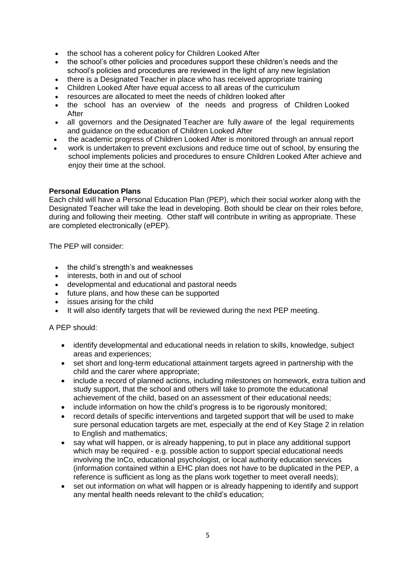- the school has a coherent policy for Children Looked After
- the school's other policies and procedures support these children's needs and the school's policies and procedures are reviewed in the light of any new legislation
- there is a Designated Teacher in place who has received appropriate training
- Children Looked After have equal access to all areas of the curriculum
- resources are allocated to meet the needs of children looked after
- the school has an overview of the needs and progress of Children Looked After
- all governors and the Designated Teacher are fully aware of the legal requirements and guidance on the education of Children Looked After
- the academic progress of Children Looked After is monitored through an annual report
- work is undertaken to prevent exclusions and reduce time out of school, by ensuring the school implements policies and procedures to ensure Children Looked After achieve and enjoy their time at the school.

#### **Personal Education Plans**

Each child will have a Personal Education Plan (PEP), which their social worker along with the Designated Teacher will take the lead in developing. Both should be clear on their roles before, during and following their meeting. Other staff will contribute in writing as appropriate. These are completed electronically (ePEP).

The PEP will consider:

- the child's strength's and weaknesses
- interests, both in and out of school
- developmental and educational and pastoral needs
- future plans, and how these can be supported
- issues arising for the child
- It will also identify targets that will be reviewed during the next PEP meeting.

A PEP should:

- identify developmental and educational needs in relation to skills, knowledge, subject areas and experiences;
- set short and long-term educational attainment targets agreed in partnership with the child and the carer where appropriate;
- include a record of planned actions, including milestones on homework, extra tuition and study support, that the school and others will take to promote the educational achievement of the child, based on an assessment of their educational needs;
- include information on how the child's progress is to be rigorously monitored;
- record details of specific interventions and targeted support that will be used to make sure personal education targets are met, especially at the end of Key Stage 2 in relation to English and mathematics;
- say what will happen, or is already happening, to put in place any additional support which may be required - e.g. possible action to support special educational needs involving the InCo, educational psychologist, or local authority education services (information contained within a EHC plan does not have to be duplicated in the PEP, a reference is sufficient as long as the plans work together to meet overall needs);
- set out information on what will happen or is already happening to identify and support any mental health needs relevant to the child's education;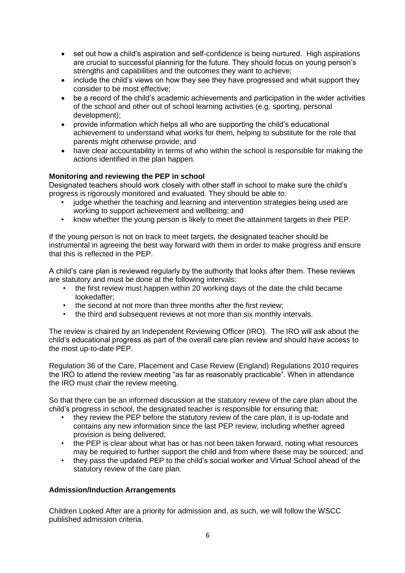- set out how a child's aspiration and self-confidence is being nurtured. High aspirations are crucial to successful planning for the future. They should focus on young person's strengths and capabilities and the outcomes they want to achieve;
- include the child's views on how they see they have progressed and what support they consider to be most effective;
- be a record of the child's academic achievements and participation in the wider activities of the school and other out of school learning activities (e.g. sporting, personal development);
- provide information which helps all who are supporting the child's educational achievement to understand what works for them, helping to substitute for the role that parents might otherwise provide; and
- have clear accountability in terms of who within the school is responsible for making the actions identified in the plan happen.

# **Monitoring and reviewing the PEP in school**

Designated teachers should work closely with other staff in school to make sure the child's progress is rigorously monitored and evaluated. They should be able to:

- judge whether the teaching and learning and intervention strategies being used are working to support achievement and wellbeing; and
- know whether the young person is likely to meet the attainment targets in their PEP.

If the young person is not on track to meet targets, the designated teacher should be instrumental in agreeing the best way forward with them in order to make progress and ensure that this is reflected in the PEP.

A child's care plan is reviewed regularly by the authority that looks after them. These reviews are statutory and must be done at the following intervals:

- the first review must happen within 20 working days of the date the child became lookedafter;
- the second at not more than three months after the first review:
- the third and subsequent reviews at not more than six monthly intervals.

The review is chaired by an Independent Reviewing Officer (IRO). The IRO will ask about the child's educational progress as part of the overall care plan review and should have access to the most up-to-date PEP.

Regulation 36 of the Care, Placement and Case Review (England) Regulations 2010 requires the IRO to attend the review meeting "as far as reasonably practicable". When in attendance the IRO must chair the review meeting.

So that there can be an informed discussion at the statutory review of the care plan about the child's progress in school, the designated teacher is responsible for ensuring that:

- they review the PEP before the statutory review of the care plan, it is up-todate and contains any new information since the last PEP review, including whether agreed provision is being delivered;
- the PEP is clear about what has or has not been taken forward, noting what resources may be required to further support the child and from where these may be sourced; and
- they pass the updated PEP to the child's social worker and Virtual School ahead of the statutory review of the care plan.

#### **Admission/Induction Arrangements**

Children Looked After are a priority for admission and, as such, we will follow the WSCC published admission criteria.